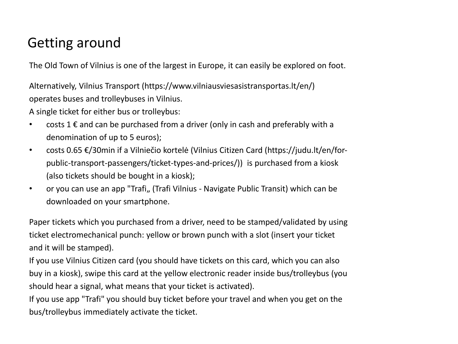## Getting around

The Old Town of Vilnius is one of the largest in Europe, it can easily be explored on foot.

Alternatively, Vilnius Transport (https://www.vilniausviesasistransportas.lt/en/) operates buses and trolleybuses in Vilnius.

A single ticket for either bus or trolleybus:

- costs 1  $\epsilon$  and can be purchased from a driver (only in cash and preferably with a denomination of up to 5 euros);
- costs 0.65 €/30min if a Vilniečio kortelė (Vilnius Citizen Card (https://judu.lt/en/forpublic-transport-passengers/ticket-types-and-prices/)) is purchased from a kiosk (also tickets should be bought in a kiosk);
- or you can use an app "Trafi,, (Trafi Vilnius Navigate Public Transit) which can be downloaded on your smartphone.

Paper tickets which you purchased from a driver, need to be stamped/validated by using ticket electromechanical punch: yellow or brown punch with a slot (insert your ticket and it will be stamped).

If you use Vilnius Citizen card (you should have tickets on this card, which you can also buy in a kiosk), swipe this card at the yellow electronic reader inside bus/trolleybus (you should hear a signal, what means that your ticket is activated).

If you use app "Trafi" you should buy ticket before your travel and when you get on the bus/trolleybus immediately activate the ticket.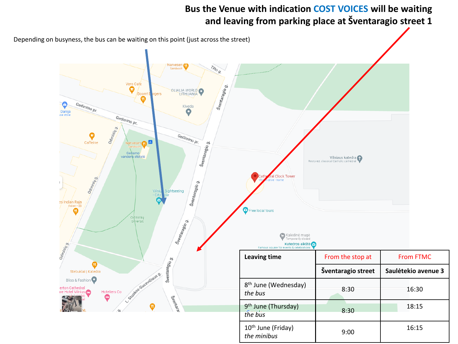## **Bus the Venue with indication COST VOICES will be waiting and leaving from parking place at Šventaragio street 1**